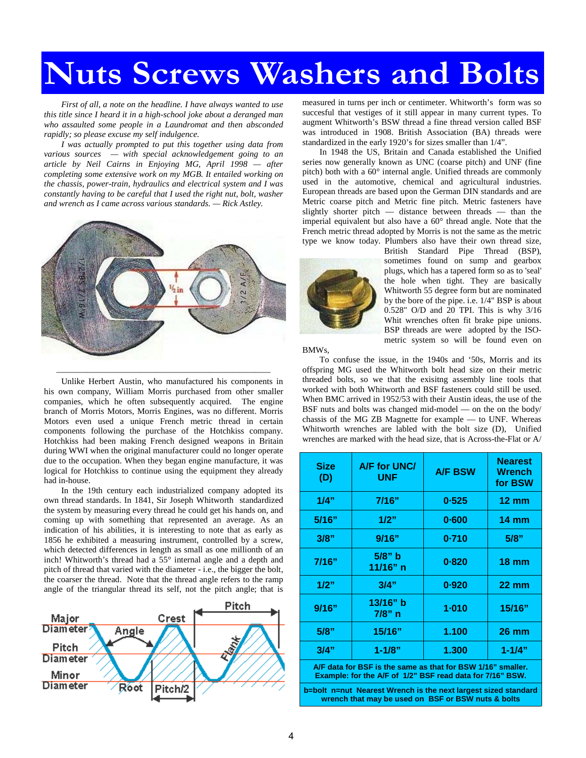## **Nuts Screws Washers and Bolts**

*First of all, a note on the headline. I have always wanted to use this title since I heard it in a high-school joke about a deranged man who assaulted some people in a Laundromat and then absconded rapidly; so please excuse my self indulgence.* 

*I was actually prompted to put this together using data from various sources — with special acknowledgement going to an article by Neil Cairns in Enjoying MG, April 1998 — after completing some extensive work on my MGB. It entailed working on the chassis, power-train, hydraulics and electrical system and I was constantly having to be careful that I used the right nut, bolt, washer and wrench as I came across various standards. — Rick Astley.* 



Unlike Herbert Austin, who manufactured his components in his own company, William Morris purchased from other smaller companies, which he often subsequently acquired. The engine branch of Morris Motors, Morris Engines, was no different. Morris Motors even used a unique French metric thread in certain components following the purchase of the Hotchkiss company. Hotchkiss had been making French designed weapons in Britain during WWI when the original manufacturer could no longer operate due to the occupation. When they began engine manufacture, it was logical for Hotchkiss to continue using the equipment they already had in-house.

In the 19th century each industrialized company adopted its own thread standards. In 1841, Sir Joseph Whitworth standardized the system by measuring every thread he could get his hands on, and coming up with something that represented an average. As an indication of his abilities, it is interesting to note that as early as 1856 he exhibited a measuring instrument, controlled by a screw, which detected differences in length as small as one millionth of an inch! Whitworth's thread had a 55° internal angle and a depth and pitch of thread that varied with the diameter - i.e., the bigger the bolt, the coarser the thread. Note that the thread angle refers to the ramp angle of the triangular thread its self, not the pitch angle; that is



measured in turns per inch or centimeter. Whitworth's form was so succesful that vestiges of it still appear in many current types. To augment Whitworth's BSW thread a fine thread version called BSF was introduced in 1908. British Association (BA) threads were standardized in the early 1920's for sizes smaller than 1/4".

In 1948 the US, Britain and Canada established the Unified series now generally known as UNC (coarse pitch) and UNF (fine pitch) both with a 60° internal angle. Unified threads are commonly used in the automotive, chemical and agricultural industries. European threads are based upon the German DIN standards and are Metric coarse pitch and Metric fine pitch. Metric fasteners have slightly shorter pitch — distance between threads — than the imperial equivalent but also have a 60° thread angle. Note that the French metric thread adopted by Morris is not the same as the metric type we know today. Plumbers also have their own thread size,



British Standard Pipe Thread (BSP), sometimes found on sump and gearbox plugs, which has a tapered form so as to 'seal' the hole when tight. They are basically Whitworth 55 degree form but are nominated by the bore of the pipe. i.e. 1/4" BSP is about 0.528" O/D and 20 TPI. This is why 3/16 Whit wrenches often fit brake pipe unions. BSP threads are were adopted by the ISOmetric system so will be found even on

BMWs,

To confuse the issue, in the 1940s and '50s, Morris and its offspring MG used the Whitworth bolt head size on their metric threaded bolts, so we that the exisitng assembly line tools that worked with both Whitworth and BSF fasteners could still be used. When BMC arrived in 1952/53 with their Austin ideas, the use of the BSF nuts and bolts was changed mid-model — on the on the body/ chassis of the MG ZB Magnette for example — to UNF. Whereas Whitworth wrenches are labled with the bolt size (D), Unified wrenches are marked with the head size, that is Across-the-Flat or A/

| <b>Size</b><br>(D)                                                                                                       | A/F for UNC/<br><b>UNF</b> | <b>A/F BSW</b> | <b>Nearest</b><br>Wrench<br>for BSW |  |  |
|--------------------------------------------------------------------------------------------------------------------------|----------------------------|----------------|-------------------------------------|--|--|
| 1/4"                                                                                                                     | 7/16"                      | 0.525          | $12 \text{ mm}$                     |  |  |
| 5/16"                                                                                                                    | 1/2"                       | $0 - 600$      | $14 \text{ mm}$                     |  |  |
| 3/8"                                                                                                                     | 9/16"                      | 0.710          | 5/8"                                |  |  |
| 7/16"                                                                                                                    | $5/8"$ b<br>11/16" n       | 0.820          | $18 \text{ mm}$                     |  |  |
| 1/2"                                                                                                                     | 3/4"                       | 0.920          | $22 \text{ mm}$                     |  |  |
| 9/16"                                                                                                                    | $13/16"$ b<br>$7/8"$ n     | $1 - 010$      | 15/16"                              |  |  |
| 5/8"                                                                                                                     | 15/16"                     | 1.100          | <b>26 mm</b>                        |  |  |
| 3/4"                                                                                                                     | $1 - 1/8"$                 | 1.300          | $1 - 1/4"$                          |  |  |
| A/F data for BSF is the same as that for BSW 1/16" smaller.<br>Example: for the A/F of 1/2" BSF read data for 7/16" BSW. |                            |                |                                     |  |  |

**b=bolt n=nut Nearest Wrench is the next largest sized standard wrench that may be used on BSF or BSW nuts & bolts**